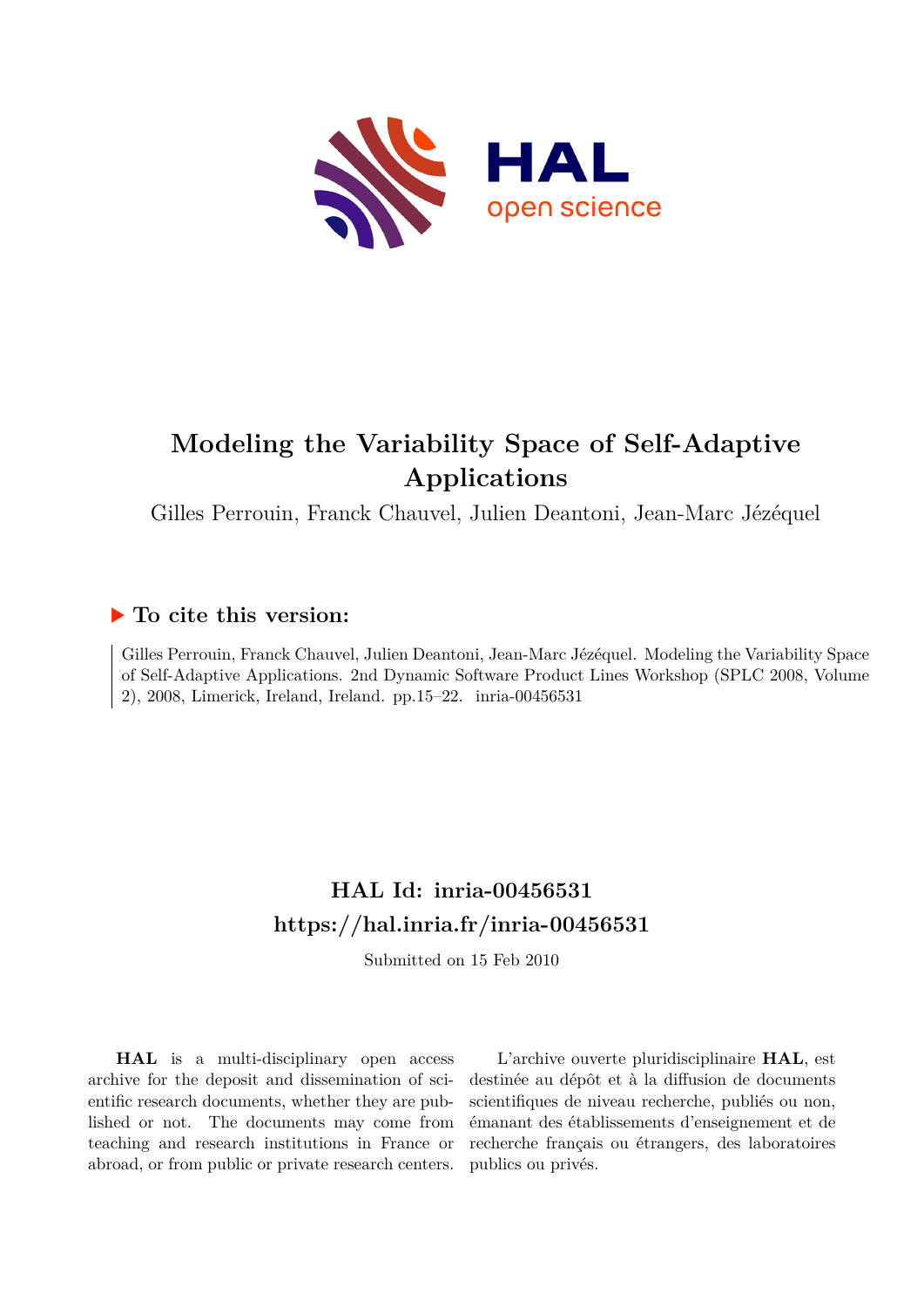

# **Modeling the Variability Space of Self-Adaptive Applications**

Gilles Perrouin, Franck Chauvel, Julien Deantoni, Jean-Marc Jézéquel

## **To cite this version:**

Gilles Perrouin, Franck Chauvel, Julien Deantoni, Jean-Marc Jézéquel. Modeling the Variability Space of Self-Adaptive Applications. 2nd Dynamic Software Product Lines Workshop (SPLC 2008, Volume 2), 2008, Limerick, Ireland, Ireland. pp.15–22. inria-00456531

## **HAL Id: inria-00456531 <https://hal.inria.fr/inria-00456531>**

Submitted on 15 Feb 2010

**HAL** is a multi-disciplinary open access archive for the deposit and dissemination of scientific research documents, whether they are published or not. The documents may come from teaching and research institutions in France or abroad, or from public or private research centers.

L'archive ouverte pluridisciplinaire **HAL**, est destinée au dépôt et à la diffusion de documents scientifiques de niveau recherche, publiés ou non, émanant des établissements d'enseignement et de recherche français ou étrangers, des laboratoires publics ou privés.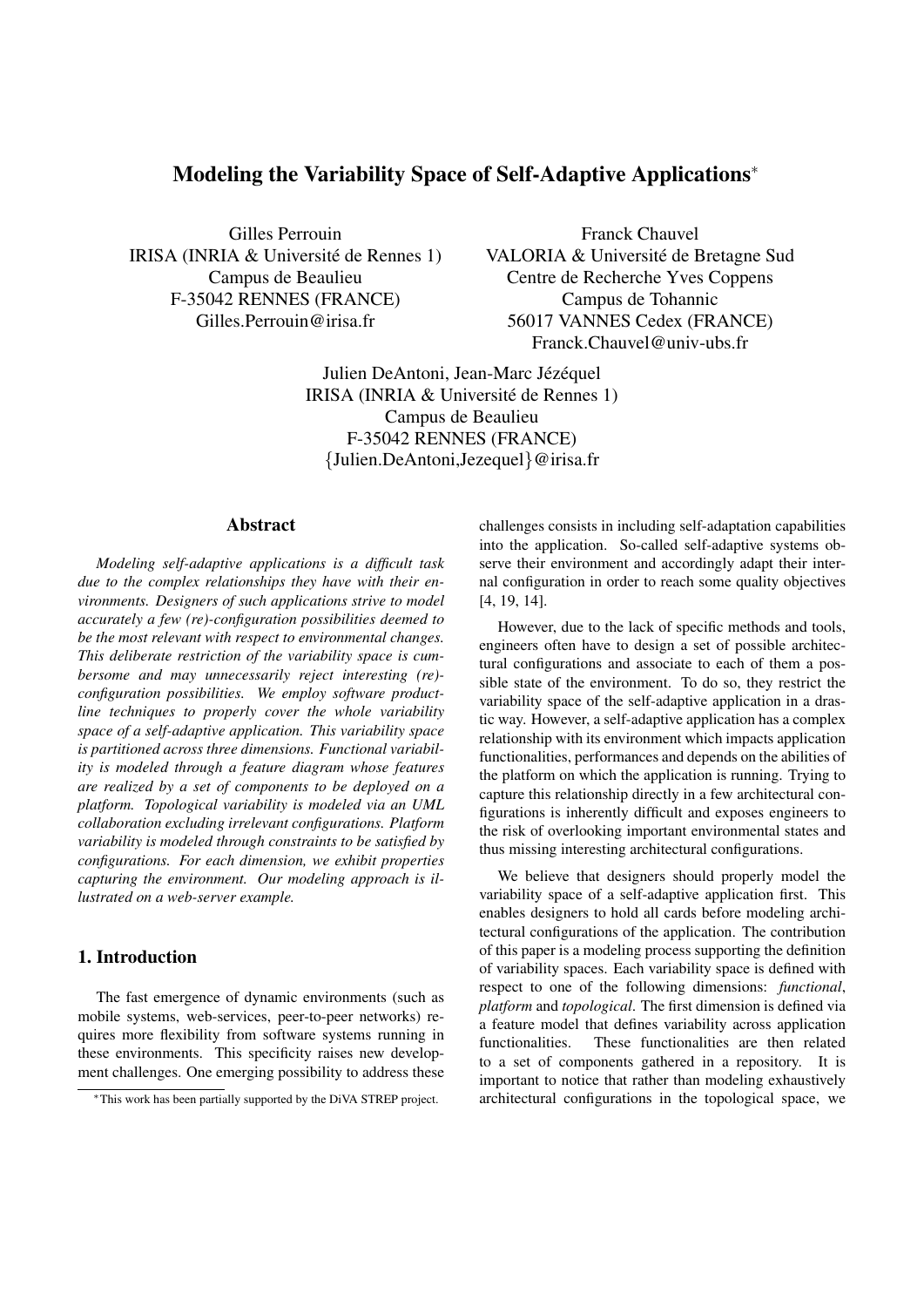## Modeling the Variability Space of Self-Adaptive Applications<sup>∗</sup>

Gilles Perrouin IRISA (INRIA & Université de Rennes 1) Campus de Beaulieu F-35042 RENNES (FRANCE) Gilles.Perrouin@irisa.fr

Franck Chauvel VALORIA & Université de Bretagne Sud Centre de Recherche Yves Coppens Campus de Tohannic 56017 VANNES Cedex (FRANCE) Franck.Chauvel@univ-ubs.fr

Julien DeAntoni, Jean-Marc Jézéquel IRISA (INRIA & Université de Rennes 1) Campus de Beaulieu F-35042 RENNES (FRANCE) {Julien.DeAntoni,Jezequel}@irisa.fr

## Abstract

*Modeling self-adaptive applications is a difficult task due to the complex relationships they have with their environments. Designers of such applications strive to model accurately a few (re)-configuration possibilities deemed to be the most relevant with respect to environmental changes. This deliberate restriction of the variability space is cumbersome and may unnecessarily reject interesting (re) configuration possibilities. We employ software productline techniques to properly cover the whole variability space of a self-adaptive application. This variability space is partitioned across three dimensions. Functional variability is modeled through a feature diagram whose features are realized by a set of components to be deployed on a platform. Topological variability is modeled via an UML collaboration excluding irrelevant configurations. Platform variability is modeled through constraints to be satisfied by configurations. For each dimension, we exhibit properties capturing the environment. Our modeling approach is illustrated on a web-server example.*

## 1. Introduction

The fast emergence of dynamic environments (such as mobile systems, web-services, peer-to-peer networks) requires more flexibility from software systems running in these environments. This specificity raises new development challenges. One emerging possibility to address these challenges consists in including self-adaptation capabilities into the application. So-called self-adaptive systems observe their environment and accordingly adapt their internal configuration in order to reach some quality objectives [4, 19, 14].

However, due to the lack of specific methods and tools, engineers often have to design a set of possible architectural configurations and associate to each of them a possible state of the environment. To do so, they restrict the variability space of the self-adaptive application in a drastic way. However, a self-adaptive application has a complex relationship with its environment which impacts application functionalities, performances and depends on the abilities of the platform on which the application is running. Trying to capture this relationship directly in a few architectural configurations is inherently difficult and exposes engineers to the risk of overlooking important environmental states and thus missing interesting architectural configurations.

We believe that designers should properly model the variability space of a self-adaptive application first. This enables designers to hold all cards before modeling architectural configurations of the application. The contribution of this paper is a modeling process supporting the definition of variability spaces. Each variability space is defined with respect to one of the following dimensions: *functional*, *platform* and *topological*. The first dimension is defined via a feature model that defines variability across application functionalities. These functionalities are then related to a set of components gathered in a repository. It is important to notice that rather than modeling exhaustively architectural configurations in the topological space, we

<sup>∗</sup>This work has been partially supported by the DiVA STREP project.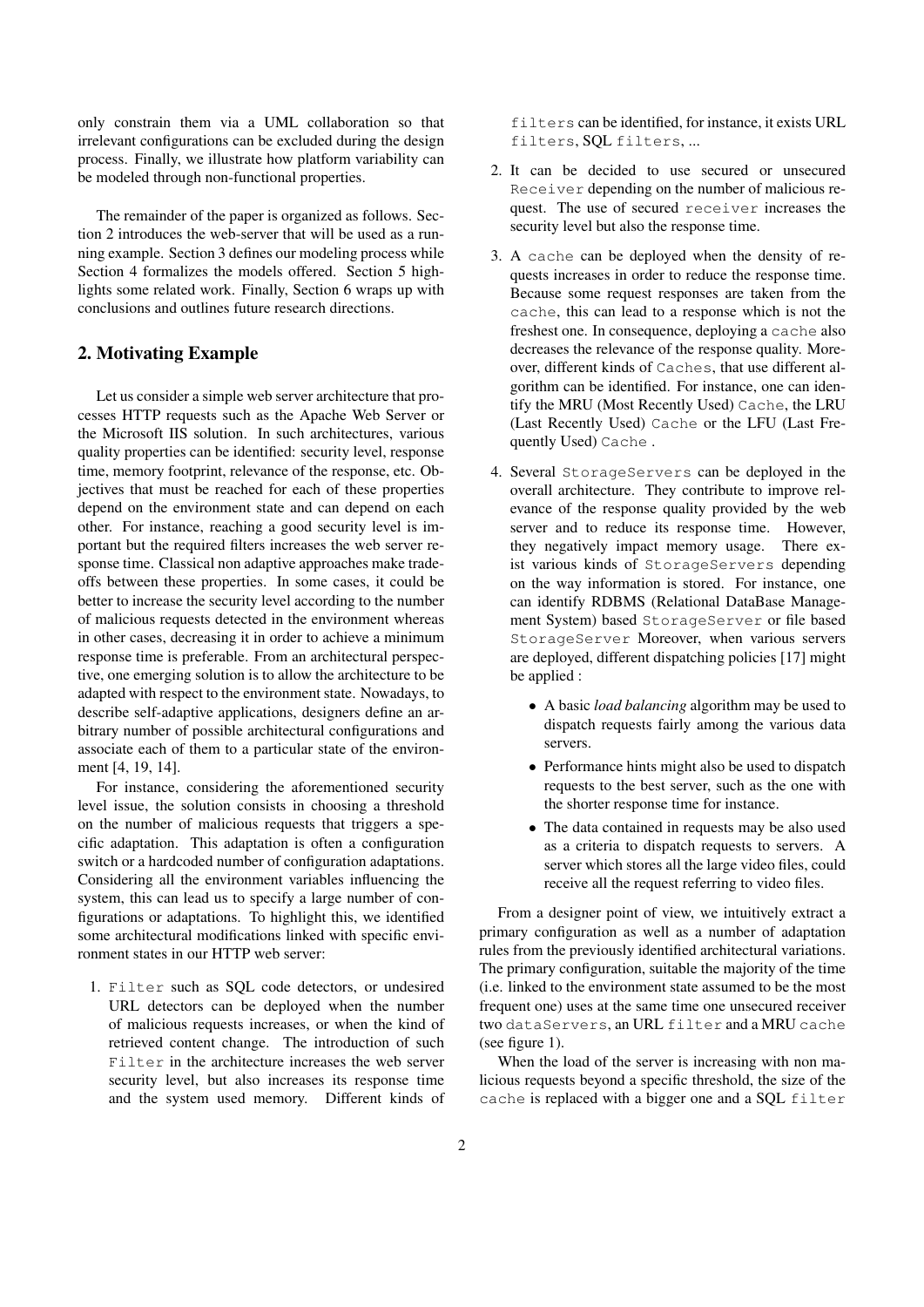only constrain them via a UML collaboration so that irrelevant configurations can be excluded during the design process. Finally, we illustrate how platform variability can be modeled through non-functional properties.

The remainder of the paper is organized as follows. Section 2 introduces the web-server that will be used as a running example. Section 3 defines our modeling process while Section 4 formalizes the models offered. Section 5 highlights some related work. Finally, Section 6 wraps up with conclusions and outlines future research directions.

#### 2. Motivating Example

Let us consider a simple web server architecture that processes HTTP requests such as the Apache Web Server or the Microsoft IIS solution. In such architectures, various quality properties can be identified: security level, response time, memory footprint, relevance of the response, etc. Objectives that must be reached for each of these properties depend on the environment state and can depend on each other. For instance, reaching a good security level is important but the required filters increases the web server response time. Classical non adaptive approaches make tradeoffs between these properties. In some cases, it could be better to increase the security level according to the number of malicious requests detected in the environment whereas in other cases, decreasing it in order to achieve a minimum response time is preferable. From an architectural perspective, one emerging solution is to allow the architecture to be adapted with respect to the environment state. Nowadays, to describe self-adaptive applications, designers define an arbitrary number of possible architectural configurations and associate each of them to a particular state of the environment [4, 19, 14].

For instance, considering the aforementioned security level issue, the solution consists in choosing a threshold on the number of malicious requests that triggers a specific adaptation. This adaptation is often a configuration switch or a hardcoded number of configuration adaptations. Considering all the environment variables influencing the system, this can lead us to specify a large number of configurations or adaptations. To highlight this, we identified some architectural modifications linked with specific environment states in our HTTP web server:

1. Filter such as SQL code detectors, or undesired URL detectors can be deployed when the number of malicious requests increases, or when the kind of retrieved content change. The introduction of such Filter in the architecture increases the web server security level, but also increases its response time and the system used memory. Different kinds of filters can be identified, for instance, it exists URL filters, SQL filters, ...

- 2. It can be decided to use secured or unsecured Receiver depending on the number of malicious request. The use of secured receiver increases the security level but also the response time.
- 3. A cache can be deployed when the density of requests increases in order to reduce the response time. Because some request responses are taken from the cache, this can lead to a response which is not the freshest one. In consequence, deploying a cache also decreases the relevance of the response quality. Moreover, different kinds of Caches, that use different algorithm can be identified. For instance, one can identify the MRU (Most Recently Used) Cache, the LRU (Last Recently Used) Cache or the LFU (Last Frequently Used) Cache .
- 4. Several StorageServers can be deployed in the overall architecture. They contribute to improve relevance of the response quality provided by the web server and to reduce its response time. However, they negatively impact memory usage. There exist various kinds of StorageServers depending on the way information is stored. For instance, one can identify RDBMS (Relational DataBase Management System) based StorageServer or file based StorageServer Moreover, when various servers are deployed, different dispatching policies [17] might be applied :
	- A basic *load balancing* algorithm may be used to dispatch requests fairly among the various data servers.
	- Performance hints might also be used to dispatch requests to the best server, such as the one with the shorter response time for instance.
	- The data contained in requests may be also used as a criteria to dispatch requests to servers. A server which stores all the large video files, could receive all the request referring to video files.

From a designer point of view, we intuitively extract a primary configuration as well as a number of adaptation rules from the previously identified architectural variations. The primary configuration, suitable the majority of the time (i.e. linked to the environment state assumed to be the most frequent one) uses at the same time one unsecured receiver two dataServers, an URL filter and a MRU cache (see figure 1).

When the load of the server is increasing with non malicious requests beyond a specific threshold, the size of the cache is replaced with a bigger one and a SQL filter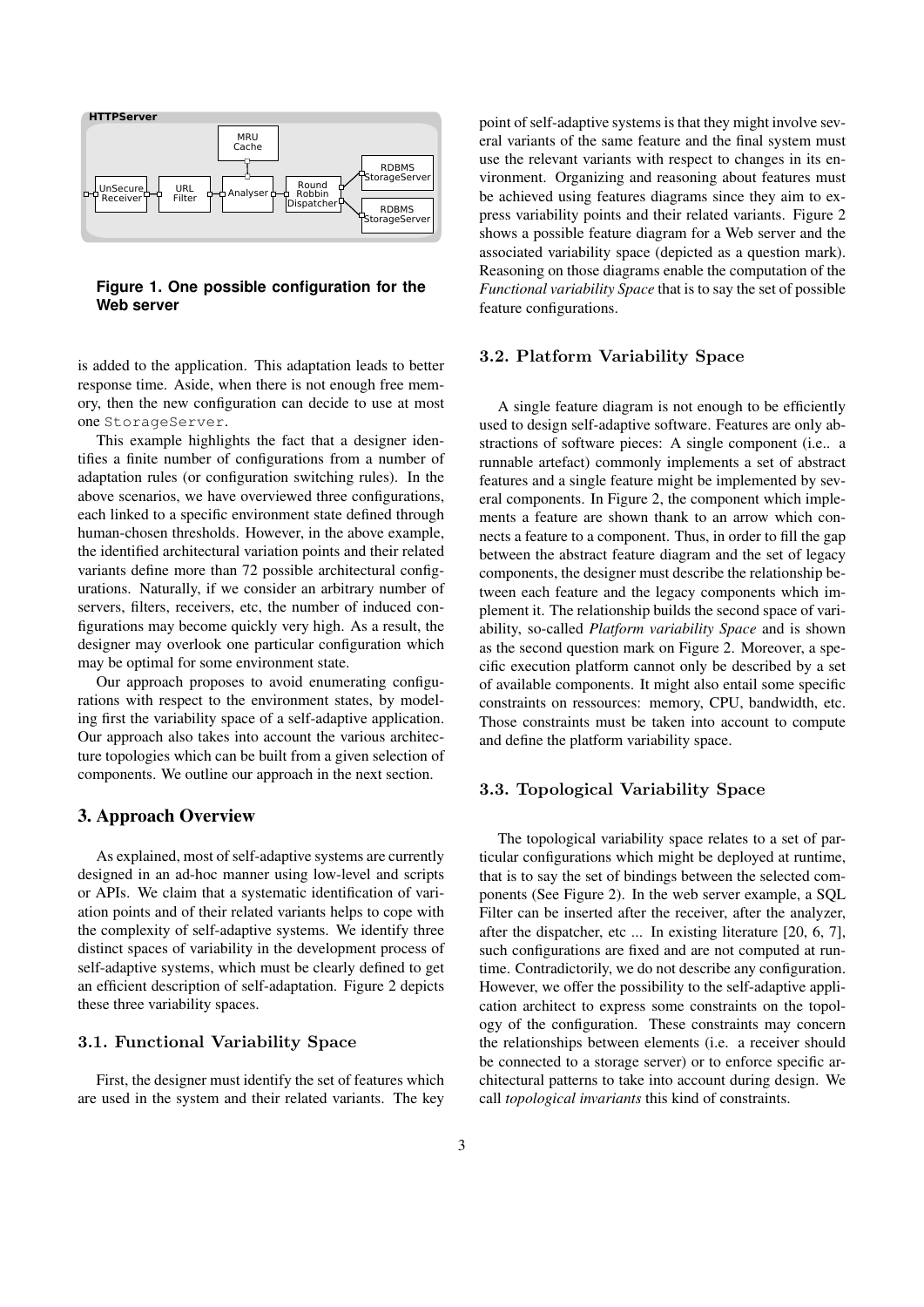

**Figure 1. One possible configuration for the Web server**

is added to the application. This adaptation leads to better response time. Aside, when there is not enough free memory, then the new configuration can decide to use at most one StorageServer.

This example highlights the fact that a designer identifies a finite number of configurations from a number of adaptation rules (or configuration switching rules). In the above scenarios, we have overviewed three configurations, each linked to a specific environment state defined through human-chosen thresholds. However, in the above example, the identified architectural variation points and their related variants define more than 72 possible architectural configurations. Naturally, if we consider an arbitrary number of servers, filters, receivers, etc, the number of induced configurations may become quickly very high. As a result, the designer may overlook one particular configuration which may be optimal for some environment state.

Our approach proposes to avoid enumerating configurations with respect to the environment states, by modeling first the variability space of a self-adaptive application. Our approach also takes into account the various architecture topologies which can be built from a given selection of components. We outline our approach in the next section.

#### 3. Approach Overview

As explained, most of self-adaptive systems are currently designed in an ad-hoc manner using low-level and scripts or APIs. We claim that a systematic identification of variation points and of their related variants helps to cope with the complexity of self-adaptive systems. We identify three distinct spaces of variability in the development process of self-adaptive systems, which must be clearly defined to get an efficient description of self-adaptation. Figure 2 depicts these three variability spaces.

#### 3.1. Functional Variability Space

First, the designer must identify the set of features which are used in the system and their related variants. The key point of self-adaptive systems is that they might involve several variants of the same feature and the final system must use the relevant variants with respect to changes in its environment. Organizing and reasoning about features must be achieved using features diagrams since they aim to express variability points and their related variants. Figure 2 shows a possible feature diagram for a Web server and the associated variability space (depicted as a question mark). Reasoning on those diagrams enable the computation of the *Functional variability Space* that is to say the set of possible feature configurations.

#### 3.2. Platform Variability Space

A single feature diagram is not enough to be efficiently used to design self-adaptive software. Features are only abstractions of software pieces: A single component (i.e.. a runnable artefact) commonly implements a set of abstract features and a single feature might be implemented by several components. In Figure 2, the component which implements a feature are shown thank to an arrow which connects a feature to a component. Thus, in order to fill the gap between the abstract feature diagram and the set of legacy components, the designer must describe the relationship between each feature and the legacy components which implement it. The relationship builds the second space of variability, so-called *Platform variability Space* and is shown as the second question mark on Figure 2. Moreover, a specific execution platform cannot only be described by a set of available components. It might also entail some specific constraints on ressources: memory, CPU, bandwidth, etc. Those constraints must be taken into account to compute and define the platform variability space.

#### 3.3. Topological Variability Space

The topological variability space relates to a set of particular configurations which might be deployed at runtime, that is to say the set of bindings between the selected components (See Figure 2). In the web server example, a SQL Filter can be inserted after the receiver, after the analyzer, after the dispatcher, etc ... In existing literature [20, 6, 7], such configurations are fixed and are not computed at runtime. Contradictorily, we do not describe any configuration. However, we offer the possibility to the self-adaptive application architect to express some constraints on the topology of the configuration. These constraints may concern the relationships between elements (i.e. a receiver should be connected to a storage server) or to enforce specific architectural patterns to take into account during design. We call *topological invariants* this kind of constraints.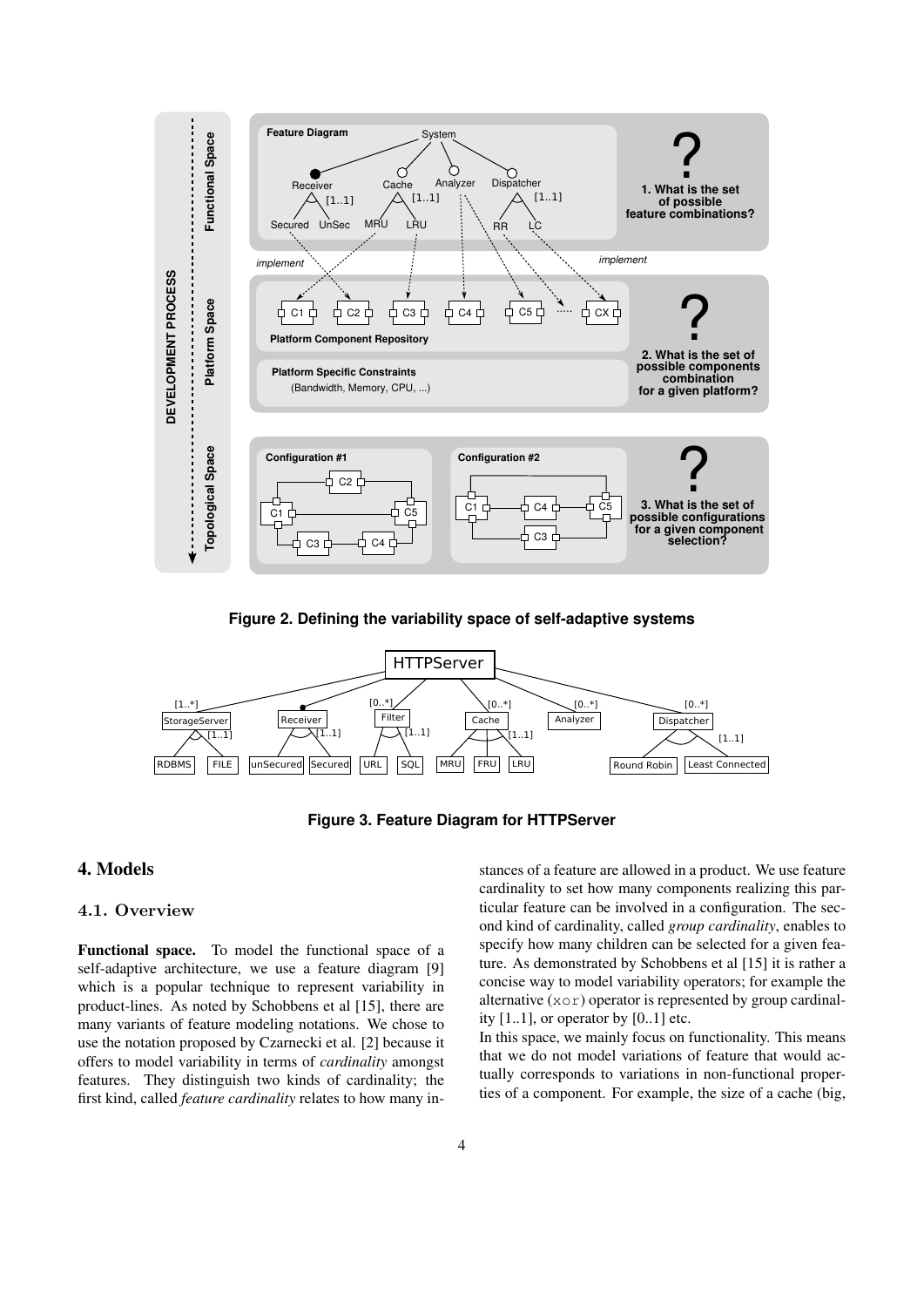

**Figure 2. Defining the variability space of self-adaptive systems**



**Figure 3. Feature Diagram for HTTPServer**

### 4. Models

#### 4.1. Overview

Functional space. To model the functional space of a self-adaptive architecture, we use a feature diagram [9] which is a popular technique to represent variability in product-lines. As noted by Schobbens et al [15], there are many variants of feature modeling notations. We chose to use the notation proposed by Czarnecki et al. [2] because it offers to model variability in terms of *cardinality* amongst features. They distinguish two kinds of cardinality; the first kind, called *feature cardinality* relates to how many instances of a feature are allowed in a product. We use feature cardinality to set how many components realizing this particular feature can be involved in a configuration. The second kind of cardinality, called *group cardinality*, enables to specify how many children can be selected for a given feature. As demonstrated by Schobbens et al [15] it is rather a concise way to model variability operators; for example the alternative  $(x \circ r)$  operator is represented by group cardinality  $[1..1]$ , or operator by  $[0..1]$  etc.

In this space, we mainly focus on functionality. This means that we do not model variations of feature that would actually corresponds to variations in non-functional properties of a component. For example, the size of a cache (big,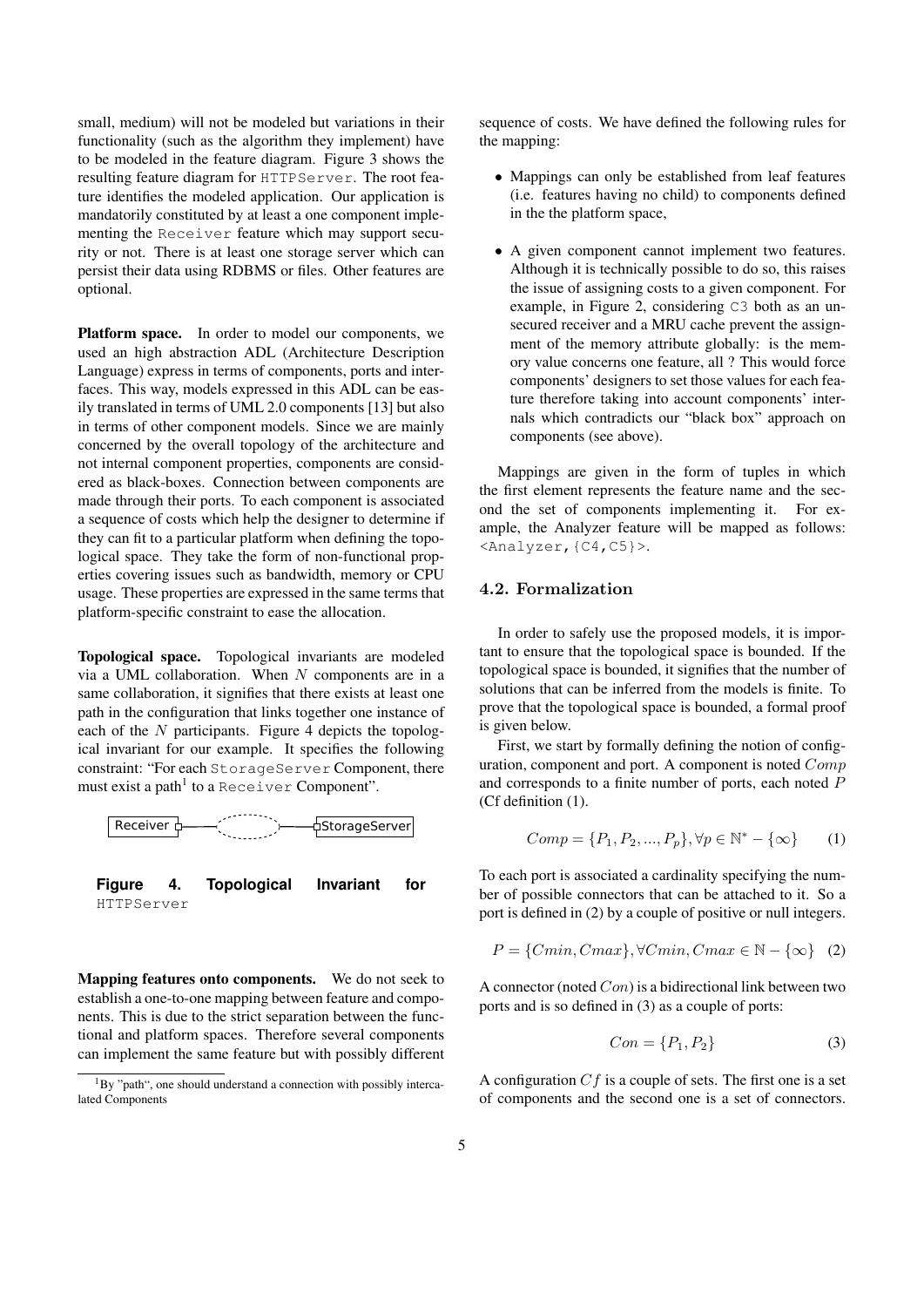small, medium) will not be modeled but variations in their functionality (such as the algorithm they implement) have to be modeled in the feature diagram. Figure 3 shows the resulting feature diagram for HTTPServer. The root feature identifies the modeled application. Our application is mandatorily constituted by at least a one component implementing the Receiver feature which may support security or not. There is at least one storage server which can persist their data using RDBMS or files. Other features are optional.

Platform space. In order to model our components, we used an high abstraction ADL (Architecture Description Language) express in terms of components, ports and interfaces. This way, models expressed in this ADL can be easily translated in terms of UML 2.0 components [13] but also in terms of other component models. Since we are mainly concerned by the overall topology of the architecture and not internal component properties, components are considered as black-boxes. Connection between components are made through their ports. To each component is associated a sequence of costs which help the designer to determine if they can fit to a particular platform when defining the topological space. They take the form of non-functional properties covering issues such as bandwidth, memory or CPU usage. These properties are expressed in the same terms that platform-specific constraint to ease the allocation.

Topological space. Topological invariants are modeled via a UML collaboration. When  $N$  components are in a same collaboration, it signifies that there exists at least one path in the configuration that links together one instance of each of the  $N$  participants. Figure 4 depicts the topological invariant for our example. It specifies the following constraint: "For each StorageServer Component, there must exist a path $^1$  to a Receiver Component".



Mapping features onto components. We do not seek to establish a one-to-one mapping between feature and components. This is due to the strict separation between the functional and platform spaces. Therefore several components can implement the same feature but with possibly different sequence of costs. We have defined the following rules for the mapping:

- Mappings can only be established from leaf features (i.e. features having no child) to components defined in the the platform space,
- A given component cannot implement two features. Although it is technically possible to do so, this raises the issue of assigning costs to a given component. For example, in Figure 2, considering C3 both as an unsecured receiver and a MRU cache prevent the assignment of the memory attribute globally: is the memory value concerns one feature, all ? This would force components' designers to set those values for each feature therefore taking into account components' internals which contradicts our "black box" approach on components (see above).

Mappings are given in the form of tuples in which the first element represents the feature name and the second the set of components implementing it. For example, the Analyzer feature will be mapped as follows: <Analyzer,{C4,C5}>.

## 4.2. Formalization

In order to safely use the proposed models, it is important to ensure that the topological space is bounded. If the topological space is bounded, it signifies that the number of solutions that can be inferred from the models is finite. To prove that the topological space is bounded, a formal proof is given below.

First, we start by formally defining the notion of configuration, component and port. A component is noted Comp and corresponds to a finite number of ports, each noted P (Cf definition (1).

$$
Comp = \{P_1, P_2, ..., P_p\}, \forall p \in \mathbb{N}^* - \{\infty\} \tag{1}
$$

To each port is associated a cardinality specifying the number of possible connectors that can be attached to it. So a port is defined in (2) by a couple of positive or null integers.

$$
P = \{Cmin, Cmax\}, \forall Cmin, Cmax \in \mathbb{N} - \{\infty\} \quad (2)
$$

A connector (noted  $Con$ ) is a bidirectional link between two ports and is so defined in (3) as a couple of ports:

$$
Con = \{P_1, P_2\} \tag{3}
$$

A configuration  $Cf$  is a couple of sets. The first one is a set of components and the second one is a set of connectors.

 $1_{\rm BV}$  "path", one should understand a connection with possibly intercalated Components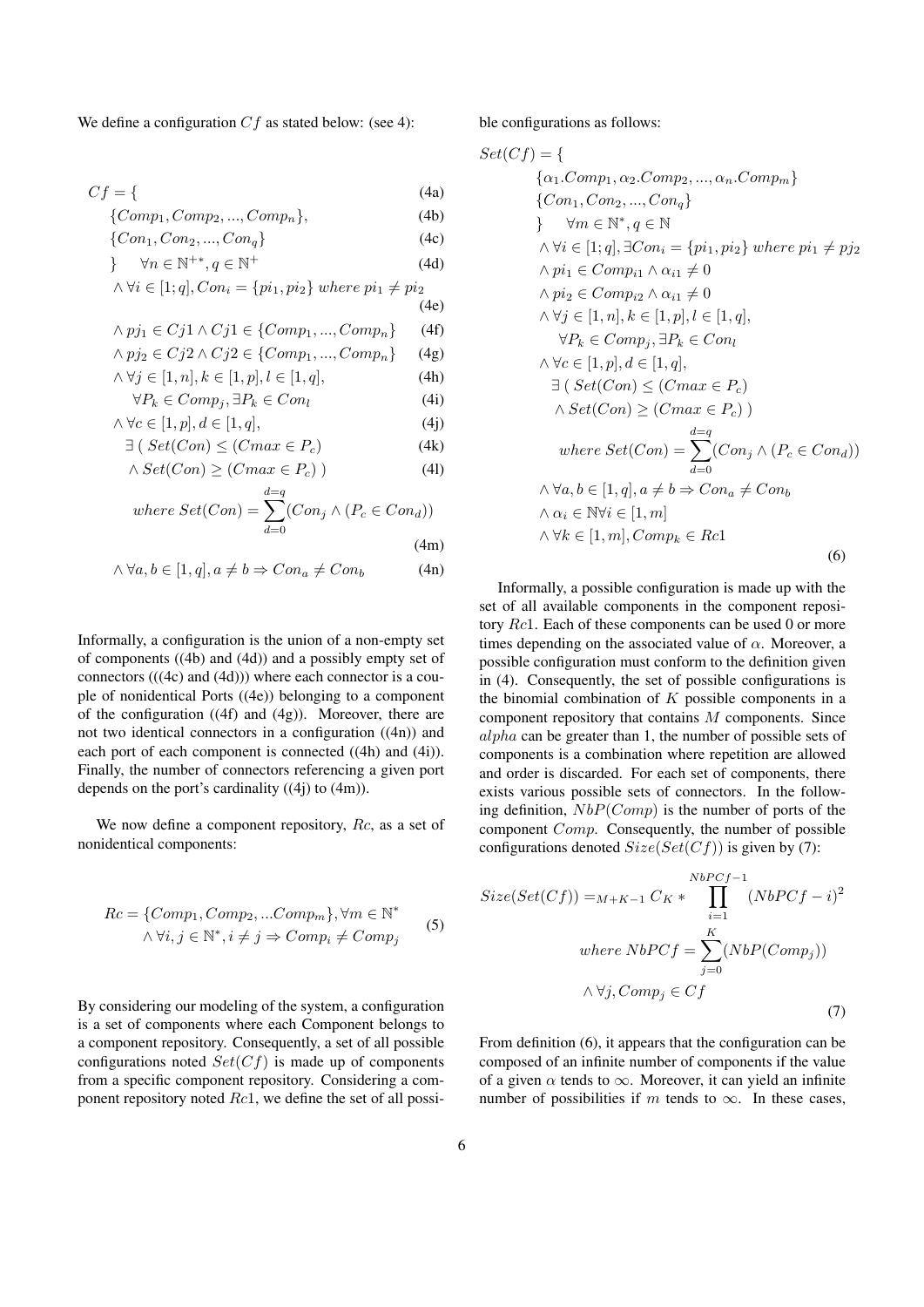We define a configuration  $Cf$  as stated below: (see 4):

$$
Cf = \{ \tag{4a}
$$

$$
\{Comp_1, Comp_2, ..., Comp_n\},\
$$
\n
$$
\{Comp_1, Comp_2, ..., Comp_n\}
$$
\n
$$
\{Comp_1, Comp_2, ..., Comp_n\}
$$
\n(4c)

$$
\forall n \in \mathbb{N}^{+*}, q \in \mathbb{N}^{+}
$$
\n(4d)

$$
\land \forall i \in [1; q], Con_i = \{pi_1, pi_2\} \text{ where } pi_1 \neq pi_2
$$

(4e)  
\n
$$
\wedge ni \in Ci1 \wedge Ci1 \in \{Comp_1, \dots, Comp_1\} \qquad (4f)
$$

$$
\wedge p_{J1} \in C_{J1} \wedge C_{J1} \in \{Comp_1, ..., Comp_n\} \quad (4)
$$
  

$$
\wedge n_{J2} \in C_{J2} \wedge C_{J2} \in \{Comp_1, ..., Comp_n\} \quad (4)
$$

$$
\wedge \forall j \in [1 \text{ n}] \quad k \in [1 \text{ n}] \quad l \in [1 \text{ a}] \tag{4b}
$$

$$
\forall P_k \in Comp_i, \exists P_k \in Comp_i
$$
\n
$$
\forall P_k \in Comp_i, \exists P_k \in Con_i
$$
\n(4i)

$$
\wedge \forall c \in [1, p], d \in [1, q], \tag{4}
$$

$$
\exists \left( Set(Con) \leq (Cmax \in P_c) \right) \tag{4k}
$$

$$
\wedge Set(Con) \ge (Cmax \in P_c) \tag{41}
$$

where 
$$
Set(Con) = \sum_{d=0}^{d=q} (Con_j \wedge (P_c \in Con_d))
$$

$$
(4m)
$$

$$
\wedge \forall a, b \in [1, q], a \neq b \Rightarrow Con_a \neq Con_b \tag{4n}
$$

Informally, a configuration is the union of a non-empty set of components ((4b) and (4d)) and a possibly empty set of connectors  $(((4c)$  and  $((4d)))$  where each connector is a couple of nonidentical Ports ((4e)) belonging to a component of the configuration ((4f) and (4g)). Moreover, there are not two identical connectors in a configuration ((4n)) and each port of each component is connected ((4h) and (4i)). Finally, the number of connectors referencing a given port depends on the port's cardinality  $((4j)$  to  $(4m)$ ).

We now define a component repository, Rc, as a set of nonidentical components:

$$
Rc = \{Comp_1, Comp_2, ... Comp_m\}, \forall m \in \mathbb{N}^* \land \forall i, j \in \mathbb{N}^*, i \neq j \Rightarrow Comp_i \neq Comp_j
$$
 (5)

By considering our modeling of the system, a configuration is a set of components where each Component belongs to a component repository. Consequently, a set of all possible configurations noted  $Set(Cf)$  is made up of components from a specific component repository. Considering a component repository noted  $Rc1$ , we define the set of all possible configurations as follows:

$$
Set(Cf) = \{ \{a_1.Comp_1, \alpha_2.Comp_2, ..., \alpha_n.Comp_m \} \{Con_1, Con_2, ..., Con_q \} \} \quad \forall m \in \mathbb{N}^*, q \in \mathbb{N} \newline \land \forall i \in [1; q], \exists Con_i = \{pi_1, pi_2\} \text{ where } pi_1 \neq pj_2 \newline \land pi_1 \in Comp_{i1} \land \alpha_{i1} \neq 0 \newline \land pi_2 \in Comp_{i2} \land \alpha_{i1} \neq 0 \newline \land \forall j \in [1, n], k \in [1, p], l \in [1, q], \newline \forall P_k \in Comp_j, \exists P_k \in Con_l \newline \land \forall c \in [1, p], d \in [1, q], \newline \exists (Set(Con) \le (Cmax \in P_c) \newline \land Set(Con) \ge (Cmax \in P_c)) \newline \text{where } Set(Con) = \sum_{d=0}^{d=q} (Con_j \land (P_c \in Con_d)) \newline \land \forall a, b \in [1, q], a \neq b \Rightarrow Con_a \neq Con_b \newline \land \alpha_i \in \mathbb{N} \forall i \in [1, m] \newline \land \forall k \in [1, m], Comp_k \in \text{Rcl} \tag{6}
$$

Informally, a possible configuration is made up with the set of all available components in the component repository Rc1. Each of these components can be used 0 or more times depending on the associated value of  $\alpha$ . Moreover, a possible configuration must conform to the definition given in (4). Consequently, the set of possible configurations is the binomial combination of  $K$  possible components in a component repository that contains M components. Since alpha can be greater than 1, the number of possible sets of components is a combination where repetition are allowed and order is discarded. For each set of components, there exists various possible sets of connectors. In the following definition,  $NbP(Comp)$  is the number of ports of the component Comp. Consequently, the number of possible configurations denoted  $Size(Set(Cf))$  is given by (7):

$$
Size(Set(Cf)) =_{M+K-1} C_K * \prod_{i=1}^{NbPCf-1} (NbPCf - i)^2
$$
  
where  $NbPCf = \sum_{j=0}^{K} (NbP(Comp_j))$   
 $\land \forall j, Comp_j \in Cf$  (7)

From definition (6), it appears that the configuration can be composed of an infinite number of components if the value of a given  $\alpha$  tends to  $\infty$ . Moreover, it can yield an infinite number of possibilities if m tends to  $\infty$ . In these cases,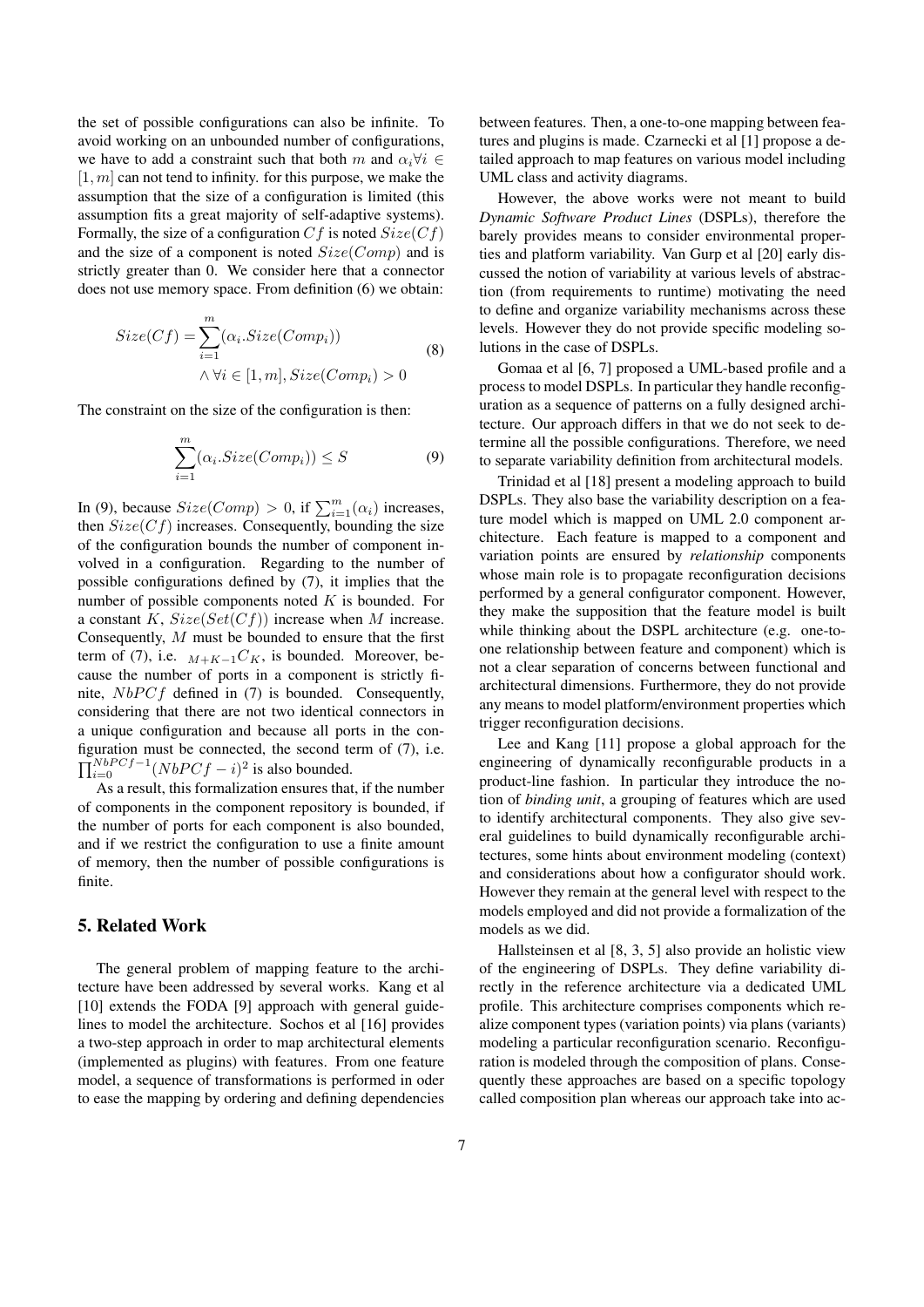the set of possible configurations can also be infinite. To avoid working on an unbounded number of configurations, we have to add a constraint such that both m and  $\alpha_i \forall i \in$  $[1, m]$  can not tend to infinity. for this purpose, we make the assumption that the size of a configuration is limited (this assumption fits a great majority of self-adaptive systems). Formally, the size of a configuration C f is noted  $Size(Cf)$ and the size of a component is noted  $Size(Comp)$  and is strictly greater than 0. We consider here that a connector does not use memory space. From definition (6) we obtain:

$$
Size(Cf) = \sum_{i=1}^{m} (\alpha_i.size(Comp_i))
$$
  
 
$$
\land \forall i \in [1, m], Size(Comp_i) > 0
$$
 (8)

The constraint on the size of the configuration is then:

$$
\sum_{i=1}^{m} (\alpha_i.Size(Comp_i)) \le S \tag{9}
$$

In (9), because  $Size(Comp) > 0$ , if  $\sum_{i=1}^{m} (\alpha_i)$  increases, then  $Size(Cf)$  increases. Consequently, bounding the size of the configuration bounds the number of component involved in a configuration. Regarding to the number of possible configurations defined by (7), it implies that the number of possible components noted  $K$  is bounded. For a constant K,  $Size(Set(Cf))$  increase when M increase. Consequently, M must be bounded to ensure that the first term of (7), i.e.  $M+K-1C_K$ , is bounded. Moreover, because the number of ports in a component is strictly finite,  $NbPCf$  defined in (7) is bounded. Consequently, considering that there are not two identical connectors in a unique configuration and because all ports in the configuration must be connected, the second term of (7), i.e.  $\prod_{i=0}^{NbPCf-1} (NbPCf - i)^2$  is also bounded.

As a result, this formalization ensures that, if the number of components in the component repository is bounded, if the number of ports for each component is also bounded, and if we restrict the configuration to use a finite amount of memory, then the number of possible configurations is finite.

## 5. Related Work

The general problem of mapping feature to the architecture have been addressed by several works. Kang et al [10] extends the FODA [9] approach with general guidelines to model the architecture. Sochos et al [16] provides a two-step approach in order to map architectural elements (implemented as plugins) with features. From one feature model, a sequence of transformations is performed in oder to ease the mapping by ordering and defining dependencies between features. Then, a one-to-one mapping between features and plugins is made. Czarnecki et al [1] propose a detailed approach to map features on various model including UML class and activity diagrams.

However, the above works were not meant to build *Dynamic Software Product Lines* (DSPLs), therefore the barely provides means to consider environmental properties and platform variability. Van Gurp et al [20] early discussed the notion of variability at various levels of abstraction (from requirements to runtime) motivating the need to define and organize variability mechanisms across these levels. However they do not provide specific modeling solutions in the case of DSPLs.

Gomaa et al [6, 7] proposed a UML-based profile and a process to model DSPLs. In particular they handle reconfiguration as a sequence of patterns on a fully designed architecture. Our approach differs in that we do not seek to determine all the possible configurations. Therefore, we need to separate variability definition from architectural models.

Trinidad et al [18] present a modeling approach to build DSPLs. They also base the variability description on a feature model which is mapped on UML 2.0 component architecture. Each feature is mapped to a component and variation points are ensured by *relationship* components whose main role is to propagate reconfiguration decisions performed by a general configurator component. However, they make the supposition that the feature model is built while thinking about the DSPL architecture (e.g. one-toone relationship between feature and component) which is not a clear separation of concerns between functional and architectural dimensions. Furthermore, they do not provide any means to model platform/environment properties which trigger reconfiguration decisions.

Lee and Kang [11] propose a global approach for the engineering of dynamically reconfigurable products in a product-line fashion. In particular they introduce the notion of *binding unit*, a grouping of features which are used to identify architectural components. They also give several guidelines to build dynamically reconfigurable architectures, some hints about environment modeling (context) and considerations about how a configurator should work. However they remain at the general level with respect to the models employed and did not provide a formalization of the models as we did.

Hallsteinsen et al [8, 3, 5] also provide an holistic view of the engineering of DSPLs. They define variability directly in the reference architecture via a dedicated UML profile. This architecture comprises components which realize component types (variation points) via plans (variants) modeling a particular reconfiguration scenario. Reconfiguration is modeled through the composition of plans. Consequently these approaches are based on a specific topology called composition plan whereas our approach take into ac